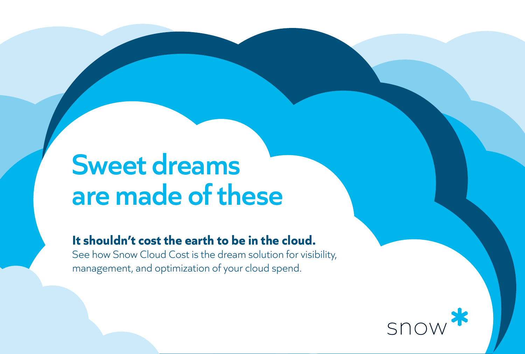# **Sweet dreams are made of these**

### **It shouldn't cost the earth to be in the cloud.**

See how Snow Cloud Cost is the dream solution for visibility, management, and optimization of your cloud spend.

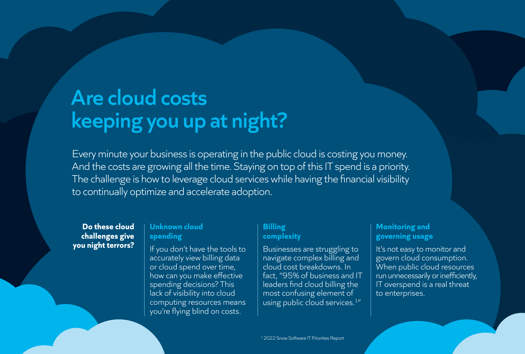## **Are cloud costs keeping you up at night?**

Every minute your business is operating in the public cloud is costing you money. And the costs are growing all the time. Staying on top of this IT spend is a priority. The challenge is how to leverage cloud services while having the financial visibility to continually optimize and accelerate adoption.

**Do these cloud challenges give you night terrors?**

#### **Unknown cloud spending**

If you don't have the tools to accurately view billing data or cloud spend over time, how can you make effective spending decisions? This lack of visibility into cloud computing resources means you're flying blind on costs.

#### **Billing complexity**

Businesses are struggling to navigate complex billing and cloud cost breakdowns. In fact, "95% of business and IT leaders find cloud billing the most confusing element of using public cloud services.<sup>1"</sup>

#### **Monitoring and governing usage**

It's not easy to monitor and govern cloud consumption. When public cloud resources run unnecessarily or inefficiently, IT overspend is a real threat to enterprises.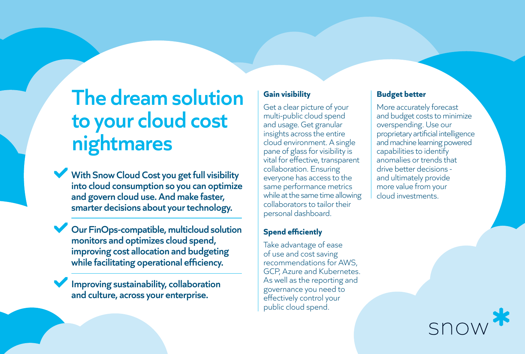## **The dream solution to your cloud cost nightmares**

With Snow Cloud Cost you get full visibility **into cloud consumption so you can optimize and govern cloud use. And make faster, smarter decisions about your technology.**

**Our FinOps-compatible, multicloud solution monitors and optimizes cloud spend, improving cost allocation and budgeting while facilitating operational efficiency.**

**Improving sustainability, collaboration and culture, across your enterprise.**

### **Gain visibility**

Get a clear picture of your multi-public cloud spend and usage. Get granular insights across the entire cloud environment. A single pane of glass for visibility is vital for effective, transparent collaboration. Ensuring everyone has access to the same performance metrics while at the same time allowing collaborators to tailor their personal dashboard.

### **Spend efficiently**

Take advantage of ease of use and cost saving recommendations for AWS, GCP, Azure and Kubernetes. As well as the reporting and governance you need to effectively control your public cloud spend.

### **Budget better**

More accurately forecast and budget costs to minimize overspending. Use our proprietary artificial intelligence and machine learning powered capabilities to identify anomalies or trends that drive better decisions and ultimately provide more value from your cloud investments.